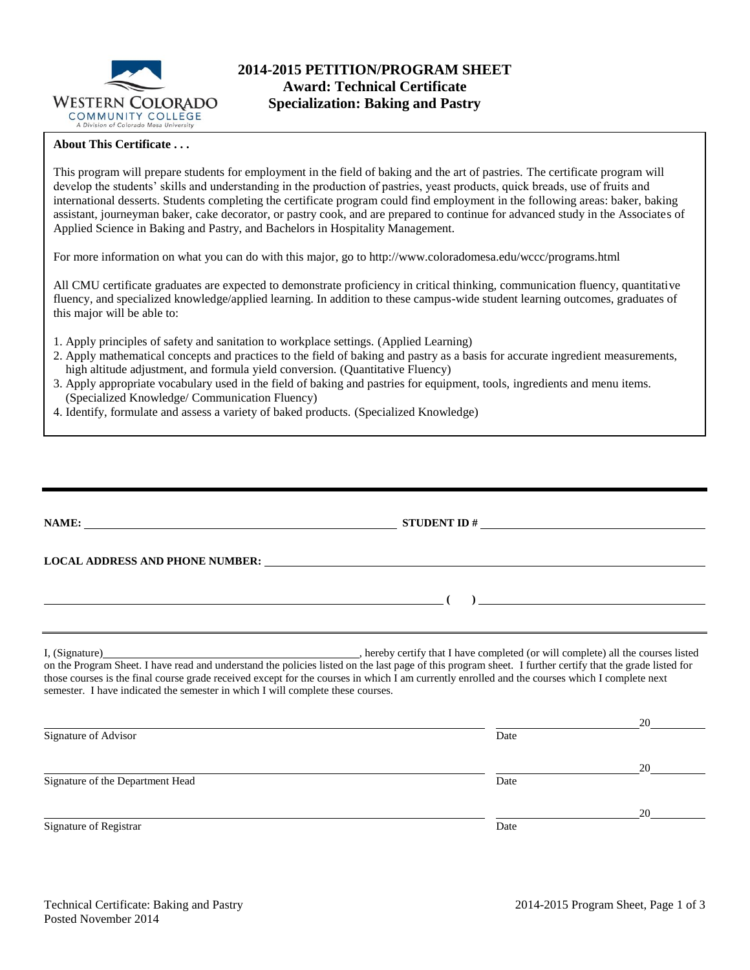

# **2014-2015 PETITION/PROGRAM SHEET Award: Technical Certificate Specialization: Baking and Pastry**

### **About This Certificate . . .**

This program will prepare students for employment in the field of baking and the art of pastries. The certificate program will develop the students' skills and understanding in the production of pastries, yeast products, quick breads, use of fruits and international desserts. Students completing the certificate program could find employment in the following areas: baker, baking assistant, journeyman baker, cake decorator, or pastry cook, and are prepared to continue for advanced study in the Associates of Applied Science in Baking and Pastry, and Bachelors in Hospitality Management.

For more information on what you can do with this major, go to http://www.coloradomesa.edu/wccc/programs.html

All CMU certificate graduates are expected to demonstrate proficiency in critical thinking, communication fluency, quantitative fluency, and specialized knowledge/applied learning. In addition to these campus-wide student learning outcomes, graduates of this major will be able to:

- 1. Apply principles of safety and sanitation to workplace settings. (Applied Learning)
- 2. Apply mathematical concepts and practices to the field of baking and pastry as a basis for accurate ingredient measurements, high altitude adjustment, and formula yield conversion. (Quantitative Fluency)
- 3. Apply appropriate vocabulary used in the field of baking and pastries for equipment, tools, ingredients and menu items. (Specialized Knowledge/ Communication Fluency)
- 4. Identify, formulate and assess a variety of baked products. (Specialized Knowledge)

|                                                                                 | STUDENT ID $#$                                                                                                                                                                                                                                                                                             |    |
|---------------------------------------------------------------------------------|------------------------------------------------------------------------------------------------------------------------------------------------------------------------------------------------------------------------------------------------------------------------------------------------------------|----|
|                                                                                 |                                                                                                                                                                                                                                                                                                            |    |
|                                                                                 | ) and the contract of the contract of $\overline{\phantom{a}}$                                                                                                                                                                                                                                             |    |
|                                                                                 |                                                                                                                                                                                                                                                                                                            |    |
| semester. I have indicated the semester in which I will complete these courses. | on the Program Sheet. I have read and understand the policies listed on the last page of this program sheet. I further certify that the grade listed for<br>those courses is the final course grade received except for the courses in which I am currently enrolled and the courses which I complete next |    |
|                                                                                 |                                                                                                                                                                                                                                                                                                            | 20 |
| Signature of Advisor                                                            | Date                                                                                                                                                                                                                                                                                                       |    |
|                                                                                 |                                                                                                                                                                                                                                                                                                            | 20 |
| Signature of the Department Head                                                | Date                                                                                                                                                                                                                                                                                                       |    |
|                                                                                 |                                                                                                                                                                                                                                                                                                            | 20 |
| Signature of Registrar                                                          | Date                                                                                                                                                                                                                                                                                                       |    |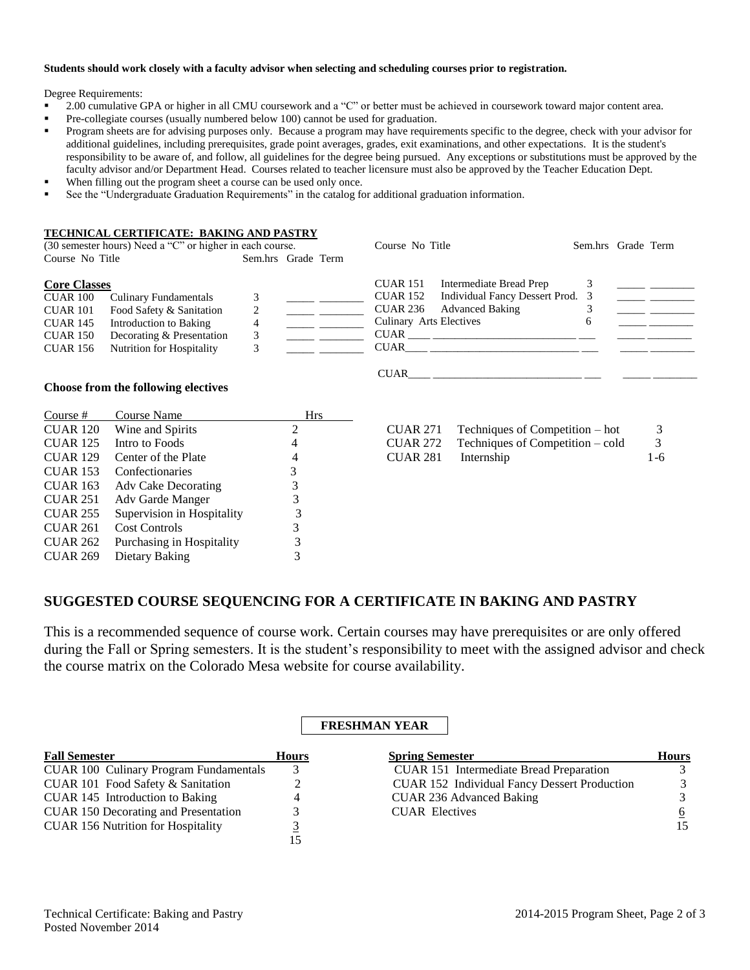#### **Students should work closely with a faculty advisor when selecting and scheduling courses prior to registration.**

Degree Requirements:

- 2.00 cumulative GPA or higher in all CMU coursework and a "C" or better must be achieved in coursework toward major content area.
- Pre-collegiate courses (usually numbered below 100) cannot be used for graduation.
- **Program sheets are for advising purposes only.** Because a program may have requirements specific to the degree, check with your advisor for additional guidelines, including prerequisites, grade point averages, grades, exit examinations, and other expectations. It is the student's responsibility to be aware of, and follow, all guidelines for the degree being pursued. Any exceptions or substitutions must be approved by the faculty advisor and/or Department Head. Courses related to teacher licensure must also be approved by the Teacher Education Dept.
- When filling out the program sheet a course can be used only once.
- See the "Undergraduate Graduation Requirements" in the catalog for additional graduation information.

#### **TECHNICAL CERTIFICATE: BAKING AND PASTRY**

|                                                                                                             | (30 semester hours) Need a "C" or higher in each course.                                                                                     |                    | Course No Title                                                                                                                                                                                                |   | Sem.hrs Grade Term |  |
|-------------------------------------------------------------------------------------------------------------|----------------------------------------------------------------------------------------------------------------------------------------------|--------------------|----------------------------------------------------------------------------------------------------------------------------------------------------------------------------------------------------------------|---|--------------------|--|
| Course No Title                                                                                             |                                                                                                                                              | Sem.hrs Grade Term |                                                                                                                                                                                                                |   |                    |  |
| <b>Core Classes</b><br>CUAR 100<br><b>CUAR 101</b><br><b>CUAR 145</b><br><b>CUAR 150</b><br><b>CUAR 156</b> | <b>Culinary Fundamentals</b><br>Food Safety & Sanitation<br>Introduction to Baking<br>Decorating & Presentation<br>Nutrition for Hospitality | 4<br>Ĵ             | Intermediate Bread Prep<br><b>CUAR 151</b><br>Individual Fancy Dessert Prod. 3<br><b>CUAR 152</b><br><b>Advanced Baking</b><br><b>CUAR 236</b><br><b>Culinary Arts Electives</b><br><b>CUAR</b><br><b>CUAR</b> | O |                    |  |
|                                                                                                             |                                                                                                                                              |                    | <b>CUAR</b>                                                                                                                                                                                                    |   |                    |  |

#### **Choose from the following electives**

| Course $#$      | Course Name                | <b>Hrs</b> |                 |                                  |     |
|-----------------|----------------------------|------------|-----------------|----------------------------------|-----|
| <b>CUAR 120</b> | Wine and Spirits           | 2          | <b>CUAR 271</b> | Techniques of Competition – hot  | 3   |
| <b>CUAR 125</b> | Intro to Foods             | 4          | <b>CUAR 272</b> | Techniques of Competition – cold | 3   |
| <b>CUAR 129</b> | Center of the Plate        | 4          | <b>CUAR 281</b> | Internship                       | 1-6 |
| <b>CUAR 153</b> | Confectionaries            |            |                 |                                  |     |
| <b>CUAR 163</b> | Adv Cake Decorating        |            |                 |                                  |     |
| <b>CUAR 251</b> | Adv Garde Manger           | 3          |                 |                                  |     |
| <b>CUAR 255</b> | Supervision in Hospitality |            |                 |                                  |     |
| <b>CUAR 261</b> | <b>Cost Controls</b>       | 3          |                 |                                  |     |
| <b>CUAR 262</b> | Purchasing in Hospitality  | 3          |                 |                                  |     |
| <b>CUAR 269</b> | Dietary Baking             |            |                 |                                  |     |
|                 |                            |            |                 |                                  |     |

| $CUAR 271$ Techniques of Competition – hot |  |
|--------------------------------------------|--|
| $\alpha$                                   |  |

| CUAR 272 | Techniques of Competition – cold |         |
|----------|----------------------------------|---------|
| CUAR 281 | Internship                       | $1 - 6$ |

# **SUGGESTED COURSE SEQUENCING FOR A CERTIFICATE IN BAKING AND PASTRY**

This is a recommended sequence of course work. Certain courses may have prerequisites or are only offered during the Fall or Spring semesters. It is the student's responsibility to meet with the assigned advisor and check the course matrix on the Colorado Mesa website for course availability.

# **FRESHMAN YEAR**

| <b>Fall Semester</b>                          | <b>Hours</b> | <b>Spring Semester</b>                              | <b>Hours</b>  |
|-----------------------------------------------|--------------|-----------------------------------------------------|---------------|
| <b>CUAR 100 Culinary Program Fundamentals</b> |              | CUAR 151 Intermediate Bread Preparation             |               |
| CUAR 101 Food Safety & Sanitation             |              | <b>CUAR 152 Individual Fancy Dessert Production</b> | $\mathcal{E}$ |
| CUAR 145 Introduction to Baking               |              | CUAR 236 Advanced Baking                            |               |
| <b>CUAR 150 Decorating and Presentation</b>   |              | <b>CUAR Electives</b>                               | 6             |
| <b>CUAR 156 Nutrition for Hospitality</b>     |              |                                                     | 15            |
|                                               |              |                                                     |               |